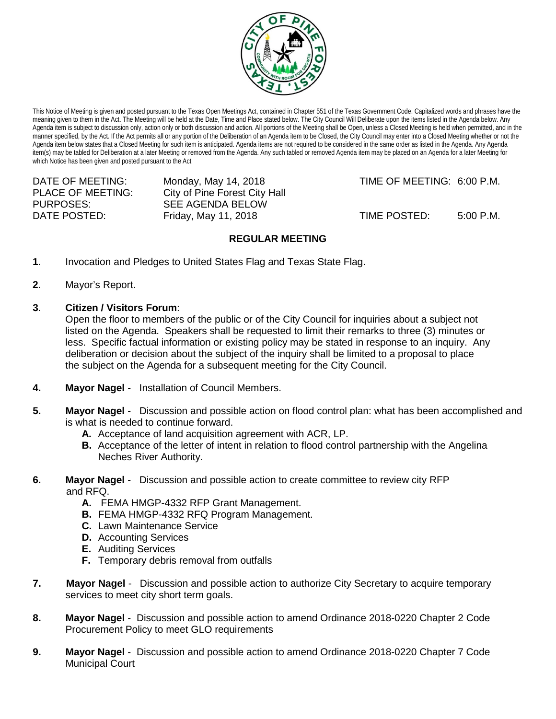

This Notice of Meeting is given and posted pursuant to the Texas Open Meetings Act, contained in Chapter 551 of the Texas Government Code. Capitalized words and phrases have the meaning given to them in the Act. The Meeting will be held at the Date, Time and Place stated below. The City Council Will Deliberate upon the items listed in the Agenda below. Any Agenda item is subject to discussion only, action only or both discussion and action. All portions of the Meeting shall be Open, unless a Closed Meeting is held when permitted, and in the manner specified, by the Act. If the Act permits all or any portion of the Deliberation of an Agenda item to be Closed, the City Council may enter into a Closed Meeting whether or not the Agenda item below states that a Closed Meeting for such item is anticipated. Agenda items are not required to be considered in the same order as listed in the Agenda. Any Agenda item(s) may be tabled for Deliberation at a later Meeting or removed from the Agenda. Any such tabled or removed Agenda item may be placed on an Agenda for a later Meeting for which Notice has been given and posted pursuant to the Act

PLACE OF MEETING: City of Pine Forest City Hall<br>PURPOSES: SEE AGENDA BELOW

SEE AGENDA BELOW

DATE OF MEETING: Monday, May 14, 2018 TIME OF MEETING: 6:00 P.M.

DATE POSTED: Friday, May 11, 2018 TIME POSTED: 5:00 P.M.

## **REGULAR MEETING**

- **1**. Invocation and Pledges to United States Flag and Texas State Flag.
- **2**. Mayor's Report.
- **3**. **Citizen / Visitors Forum**:

Open the floor to members of the public or of the City Council for inquiries about a subject not listed on the Agenda. Speakers shall be requested to limit their remarks to three (3) minutes or less. Specific factual information or existing policy may be stated in response to an inquiry. Any deliberation or decision about the subject of the inquiry shall be limited to a proposal to place the subject on the Agenda for a subsequent meeting for the City Council.

- **4. Mayor Nagel** Installation of Council Members.
- **5. Mayor Nagel** Discussion and possible action on flood control plan: what has been accomplished and is what is needed to continue forward.
	- **A.** Acceptance of land acquisition agreement with ACR, LP.
	- **B.** Acceptance of the letter of intent in relation to flood control partnership with the Angelina Neches River Authority.
- **6. Mayor Nagel** Discussion and possible action to create committee to review city RFP and RFQ.
	- **A.** FEMA HMGP-4332 RFP Grant Management.
	- **B.** FEMA HMGP-4332 RFQ Program Management.
	- **C.** Lawn Maintenance Service
	- **D.** Accounting Services
	- **E.** Auditing Services
	- **F.** Temporary debris removal from outfalls
- **7. Mayor Nagel**  Discussion and possible action to authorize City Secretary to acquire temporary services to meet city short term goals.
- **8. Mayor Nagel**  Discussion and possible action to amend Ordinance 2018-0220 Chapter 2 Code Procurement Policy to meet GLO requirements
- **9. Mayor Nagel** Discussion and possible action to amend Ordinance 2018-0220 Chapter 7 Code Municipal Court